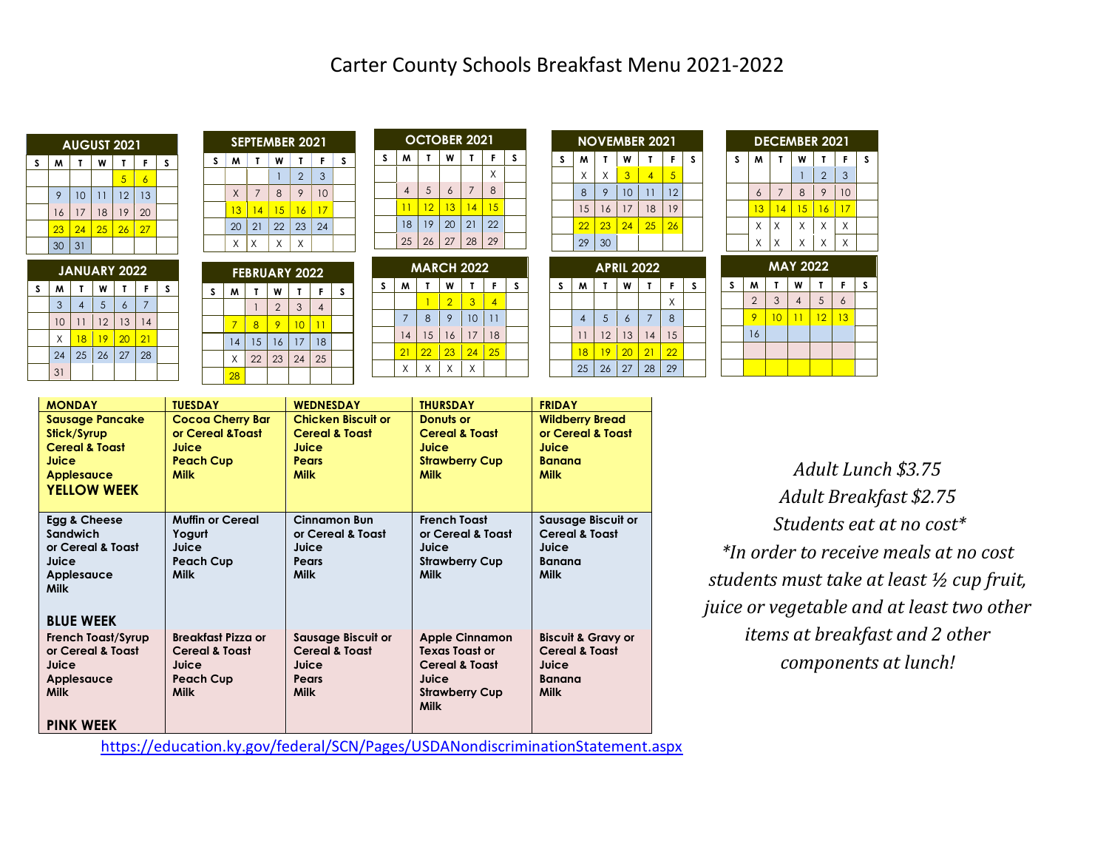| <b>AUGUST 2021</b> |    |    |    |    |                |   |  |  |
|--------------------|----|----|----|----|----------------|---|--|--|
| S                  | M  |    | W  | Т  | F              | S |  |  |
|                    |    |    |    | 5  | $\overline{6}$ |   |  |  |
|                    | 9  | 10 | 11 | 12 | 13             |   |  |  |
|                    | 16 | 17 | 18 | 19 | 20             |   |  |  |
|                    | 23 | 24 | 25 | 26 | 27             |   |  |  |
|                    | 30 | 31 |    |    |                |   |  |  |

| <b>JANUARY 2022</b>        |    |    |    |                 |    |  |  |  |
|----------------------------|----|----|----|-----------------|----|--|--|--|
| M<br>s<br>W<br>F<br>т<br>Т |    |    |    |                 |    |  |  |  |
|                            | 3  |    | 5  | 6               | 7  |  |  |  |
|                            | 10 | 11 | 12 | 13              | 14 |  |  |  |
|                            | Χ  | 18 | 19 | $\overline{20}$ | 21 |  |  |  |
|                            | 24 | 25 | 26 | 27              | 28 |  |  |  |
|                            | 31 |    |    |                 |    |  |  |  |

|   | <b>SEPTEMBER 2021</b> |                |    |                |    |   |  |  |  |
|---|-----------------------|----------------|----|----------------|----|---|--|--|--|
| S | M                     | т              | W  | Т              | F  | S |  |  |  |
|   |                       |                |    | $\overline{2}$ | 3  |   |  |  |  |
|   | X                     | $\overline{7}$ | 8  | 9              | 10 |   |  |  |  |
|   | 13                    | 14             | 15 | 16             | 17 |   |  |  |  |
|   | 20                    | 21             | 22 | 23             | 24 |   |  |  |  |
|   | Χ                     | X              | X  | X              |    |   |  |  |  |
|   |                       |                |    |                |    |   |  |  |  |

| <b>FEBRUARY 2022</b> |                  |    |                |    |    |  |  |  |
|----------------------|------------------|----|----------------|----|----|--|--|--|
| S                    | M<br>W<br>S<br>F |    |                |    |    |  |  |  |
|                      |                  |    | $\overline{2}$ | 3  |    |  |  |  |
|                      |                  | 8  |                | 10 |    |  |  |  |
|                      | 14               | 15 | 16             | 17 | 18 |  |  |  |
|                      | $\mathsf X$      | 22 | 23             | 24 | 25 |  |  |  |
|                      | 28               |    |                |    |    |  |  |  |

|   | <b>OCTOBER 2021</b> |    |    |    |    |    |   |  |  |  |
|---|---------------------|----|----|----|----|----|---|--|--|--|
| S |                     | M  | т  | W  | Т  | F  | S |  |  |  |
|   |                     |    |    |    |    | X  |   |  |  |  |
|   |                     |    | 5  | 6  | 7  | 8  |   |  |  |  |
|   |                     |    | 12 | 13 | 14 | 15 |   |  |  |  |
|   |                     | 18 | 19 | 20 | 21 | 22 |   |  |  |  |
|   |                     | 25 | 26 | 27 | 28 | 29 |   |  |  |  |

| <b>MARCH 2022</b> |    |    |                |    |                 |   |  |
|-------------------|----|----|----------------|----|-----------------|---|--|
| S                 | M  |    | W              |    | F               | S |  |
|                   |    |    | $\overline{2}$ | 3  |                 |   |  |
|                   | 7  | 8  | 9              | 10 | $\overline{11}$ |   |  |
|                   | 14 | 15 | 16             | 17 | 18              |   |  |
|                   | 21 | 22 | 23             | 24 | 25              |   |  |
|                   |    |    |                |    |                 |   |  |

| <b>NOVEMBER 2021</b> |    |    |                 |    |                |   |  |  |
|----------------------|----|----|-----------------|----|----------------|---|--|--|
| S                    | M  | т  | W               |    | F              | S |  |  |
|                      | X  | X  | 3               | 4  | $\overline{5}$ |   |  |  |
|                      | 8  | 9  | 10              | 11 | 12             |   |  |  |
|                      | 15 | 16 | 17              | 18 | 19             |   |  |  |
|                      | 22 | 23 | $\overline{24}$ | 25 | 26             |   |  |  |
|                      | 29 | 30 |                 |    |                |   |  |  |

|   | <b>APRIL 2022</b> |                |                |    |    |   |  |  |  |
|---|-------------------|----------------|----------------|----|----|---|--|--|--|
| S | M                 | Τ              | W              |    | F  | S |  |  |  |
|   |                   |                |                |    | X  |   |  |  |  |
|   |                   | $\overline{5}$ | $\overline{6}$ |    | 8  |   |  |  |  |
|   | 11                | 12             | 13             | 14 | 15 |   |  |  |  |
|   | 18                | 19             | 20             | 21 | 22 |   |  |  |  |
|   | 25                | 26             | 27             | 28 | 29 |   |  |  |  |

| <b>DECEMBER 2021</b> |    |                |         |                |    |   |  |
|----------------------|----|----------------|---------|----------------|----|---|--|
| S                    | M  |                | W       |                | F  | S |  |
|                      |    |                |         | $\overline{2}$ | 3  |   |  |
|                      | 6  | $\overline{7}$ | 8       | 9              | 10 |   |  |
|                      | 13 | 14             | 15      | 16             | 17 |   |  |
|                      | X  | X              | X       | X              | X  |   |  |
|                      | X  | Χ              | X       | X              | X  |   |  |
|                      |    | л              | AV AAAA |                |    |   |  |

|  | <b>MAY 2022</b> |                |    |                |    |    |   |  |
|--|-----------------|----------------|----|----------------|----|----|---|--|
|  | S               | W              |    | W              |    | F  | s |  |
|  |                 | $\overline{2}$ | 3  | $\overline{4}$ | 5  | 6  |   |  |
|  |                 |                | 10 |                | 12 | 13 |   |  |
|  |                 | 16             |    |                |    |    |   |  |
|  |                 |                |    |                |    |    |   |  |
|  |                 |                |    |                |    |    |   |  |

| <b>MONDAY</b>                                                                                                          | <b>TUESDAY</b>                                                                                     | <b>WEDNESDAY</b>                                                                               | <b>THURSDAY</b>                                                                                                              | <b>FRIDAY</b>                                                                                       |
|------------------------------------------------------------------------------------------------------------------------|----------------------------------------------------------------------------------------------------|------------------------------------------------------------------------------------------------|------------------------------------------------------------------------------------------------------------------------------|-----------------------------------------------------------------------------------------------------|
| <b>Sausage Pancake</b><br>Stick/Syrup<br><b>Cereal &amp; Toast</b><br>Juice<br><b>Applesauce</b><br><b>YELLOW WEEK</b> | <b>Cocoa Cherry Bar</b><br>or Cereal & Toast<br>Juice<br><b>Peach Cup</b><br><b>Milk</b>           | <b>Chicken Biscuit or</b><br><b>Cereal &amp; Toast</b><br>Juice<br><b>Pears</b><br><b>Milk</b> | Donuts or<br><b>Cereal &amp; Toast</b><br>Juice<br><b>Strawberry Cup</b><br><b>Milk</b>                                      | <b>Wildberry Bread</b><br>or Cereal & Toast<br>Juice<br><b>Banana</b><br><b>Milk</b>                |
| Egg & Cheese<br>Sandwich<br>or Cereal & Toast<br>Juice<br>Applesauce<br><b>Milk</b><br><b>BLUE WEEK</b>                | <b>Muffin or Cereal</b><br>Yogurt<br>Juice<br><b>Peach Cup</b><br><b>Milk</b>                      | <b>Cinnamon Bun</b><br>or Cereal & Toast<br>Juice<br>Pears<br><b>Milk</b>                      | <b>French Toast</b><br>or Cereal & Toast<br>Juice<br><b>Strawberry Cup</b><br><b>Milk</b>                                    | Sausage Biscuit or<br><b>Cereal &amp; Toast</b><br>Juice<br>Banana<br><b>Milk</b>                   |
| <b>French Toast/Syrup</b><br>or Cereal & Toast<br>Juice<br>Applesauce<br><b>Milk</b><br><b>PINK WEEK</b>               | <b>Breakfast Pizza or</b><br><b>Cereal &amp; Toast</b><br>Juice<br><b>Peach Cup</b><br><b>Milk</b> | Sausage Biscuit or<br><b>Cereal &amp; Toast</b><br>Juice<br>Pears<br><b>Milk</b>               | <b>Apple Cinnamon</b><br><b>Texas Toast or</b><br><b>Cereal &amp; Toast</b><br>Juice<br><b>Strawberry Cup</b><br><b>Milk</b> | <b>Biscuit &amp; Gravy or</b><br><b>Cereal &amp; Toast</b><br>Juice<br><b>Banana</b><br><b>Milk</b> |

*Adult Lunch \$3.75 Adult Breakfast \$2.75 Students eat at no cost\* \*In order to receive meals at no cost students must take at least ½ cup fruit, juice or vegetable and at least two other items at breakfast and 2 other components at lunch!*

<https://education.ky.gov/federal/SCN/Pages/USDANondiscriminationStatement.aspx>